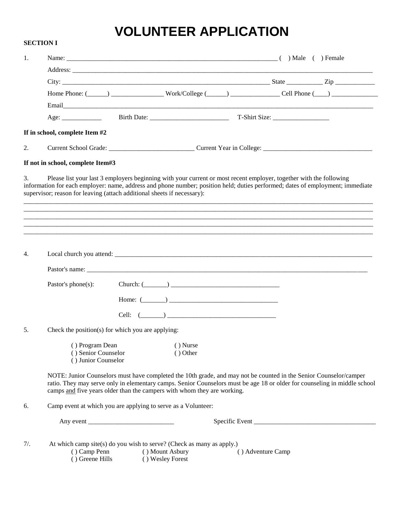# **VOLUNTEER APPLICATION**

**SECTION I**

| 1.  |                                                                                                                                                                                                                                                                                                                                 |                          |                                     |  |                   |                                                                                                                           |
|-----|---------------------------------------------------------------------------------------------------------------------------------------------------------------------------------------------------------------------------------------------------------------------------------------------------------------------------------|--------------------------|-------------------------------------|--|-------------------|---------------------------------------------------------------------------------------------------------------------------|
|     |                                                                                                                                                                                                                                                                                                                                 |                          |                                     |  |                   |                                                                                                                           |
|     |                                                                                                                                                                                                                                                                                                                                 |                          |                                     |  |                   |                                                                                                                           |
|     |                                                                                                                                                                                                                                                                                                                                 |                          |                                     |  |                   | Home Phone: $(\_\_\_\_\_)$ _________________Work/College $(\_\_\_\)_$ _______________Cell Phone $(\_\_\_\)_$              |
|     |                                                                                                                                                                                                                                                                                                                                 |                          |                                     |  |                   |                                                                                                                           |
|     |                                                                                                                                                                                                                                                                                                                                 |                          |                                     |  |                   |                                                                                                                           |
|     | If in school, complete Item #2                                                                                                                                                                                                                                                                                                  |                          |                                     |  |                   |                                                                                                                           |
| 2.  |                                                                                                                                                                                                                                                                                                                                 |                          |                                     |  |                   |                                                                                                                           |
|     | If not in school, complete Item#3                                                                                                                                                                                                                                                                                               |                          |                                     |  |                   |                                                                                                                           |
| 3.  | Please list your last 3 employers beginning with your current or most recent employer, together with the following<br>information for each employer: name, address and phone number; position held; duties performed; dates of employment; immediate<br>supervisor; reason for leaving (attach additional sheets if necessary): |                          |                                     |  |                   |                                                                                                                           |
|     |                                                                                                                                                                                                                                                                                                                                 |                          |                                     |  |                   |                                                                                                                           |
|     |                                                                                                                                                                                                                                                                                                                                 |                          |                                     |  |                   |                                                                                                                           |
|     |                                                                                                                                                                                                                                                                                                                                 |                          |                                     |  |                   |                                                                                                                           |
| 4.  |                                                                                                                                                                                                                                                                                                                                 |                          |                                     |  |                   |                                                                                                                           |
|     |                                                                                                                                                                                                                                                                                                                                 |                          |                                     |  |                   |                                                                                                                           |
|     | Pastor's phone(s):                                                                                                                                                                                                                                                                                                              |                          |                                     |  |                   |                                                                                                                           |
|     |                                                                                                                                                                                                                                                                                                                                 |                          | Home: $(\_\_)$                      |  |                   |                                                                                                                           |
|     |                                                                                                                                                                                                                                                                                                                                 |                          | Cell: $(\_\_)$                      |  |                   |                                                                                                                           |
| 5.  | Check the position(s) for which you are applying:                                                                                                                                                                                                                                                                               |                          |                                     |  |                   |                                                                                                                           |
|     | () Senior Counselor<br>() Junior Counselor                                                                                                                                                                                                                                                                                      | () Program Dean () Nurse | () Other                            |  |                   |                                                                                                                           |
|     | NOTE: Junior Counselors must have completed the 10th grade, and may not be counted in the Senior Counselor/camper<br>camps and five years older than the campers with whom they are working.                                                                                                                                    |                          |                                     |  |                   | ratio. They may serve only in elementary camps. Senior Counselors must be age 18 or older for counseling in middle school |
| 6.  | Camp event at which you are applying to serve as a Volunteer:                                                                                                                                                                                                                                                                   |                          |                                     |  |                   |                                                                                                                           |
|     |                                                                                                                                                                                                                                                                                                                                 |                          |                                     |  |                   |                                                                                                                           |
| 7/. | At which camp site(s) do you wish to serve? (Check as many as apply.)<br>() Camp Penn<br>() Greene Hills                                                                                                                                                                                                                        |                          | () Mount Asbury<br>() Wesley Forest |  | () Adventure Camp |                                                                                                                           |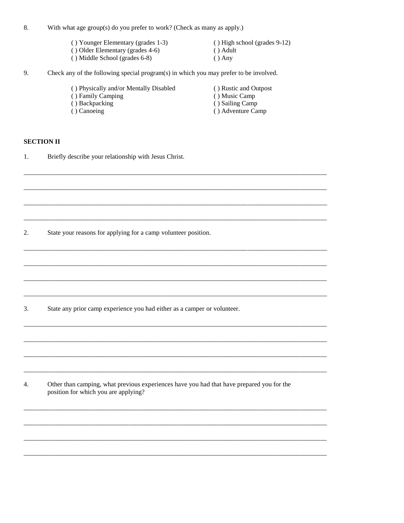- With what age group(s) do you prefer to work? (Check as many as apply.) 8.
	- () Younger Elementary (grades 1-3)
	- () Older Elementary (grades 4-6)
	- () Middle School (grades 6-8)
- () High school (grades 9-12) () Adult
- $() Any$
- 9. Check any of the following special program(s) in which you may prefer to be involved.
	- () Physically and/or Mentally Disabled
	- () Family Camping
	- () Backpacking
	- () Canoeing
- () Rustic and Outpost
- () Music Camp
- () Sailing Camp
- () Adventure Camp

## **SECTION II**

Briefly describe your relationship with Jesus Christ. 1.

State your reasons for applying for a camp volunteer position. 2.

State any prior camp experience you had either as a camper or volunteer. 3.

Other than camping, what previous experiences have you had that have prepared you for the 4. position for which you are applying?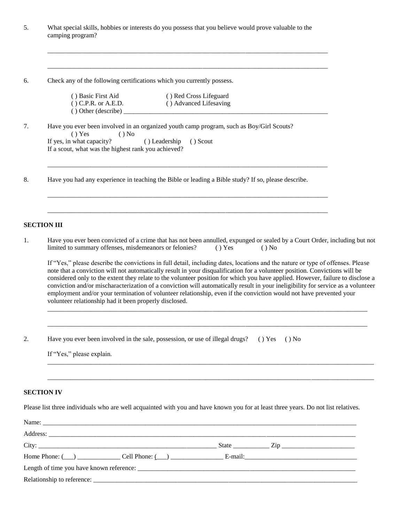| What special skills, hobbies or interests do you possess that you believe would prove valuable to the |
|-------------------------------------------------------------------------------------------------------|
| camping program?                                                                                      |

\_\_\_\_\_\_\_\_\_\_\_\_\_\_\_\_\_\_\_\_\_\_\_\_\_\_\_\_\_\_\_\_\_\_\_\_\_\_\_\_\_\_\_\_\_\_\_\_\_\_\_\_\_\_\_\_\_\_\_\_\_\_\_\_\_\_\_\_\_\_\_\_\_\_\_\_\_\_\_\_\_\_\_\_\_

\_\_\_\_\_\_\_\_\_\_\_\_\_\_\_\_\_\_\_\_\_\_\_\_\_\_\_\_\_\_\_\_\_\_\_\_\_\_\_\_\_\_\_\_\_\_\_\_\_\_\_\_\_\_\_\_\_\_\_\_\_\_\_\_\_\_\_\_\_\_\_\_\_\_\_\_\_\_\_\_\_\_\_\_\_

\_\_\_\_\_\_\_\_\_\_\_\_\_\_\_\_\_\_\_\_\_\_\_\_\_\_\_\_\_\_\_\_\_\_\_\_\_\_\_\_\_\_\_\_\_\_\_\_\_\_\_\_\_\_\_\_\_\_\_\_\_\_\_\_\_\_\_\_\_\_\_\_\_\_\_\_\_\_\_\_\_\_\_\_\_

\_\_\_\_\_\_\_\_\_\_\_\_\_\_\_\_\_\_\_\_\_\_\_\_\_\_\_\_\_\_\_\_\_\_\_\_\_\_\_\_\_\_\_\_\_\_\_\_\_\_\_\_\_\_\_\_\_\_\_\_\_\_\_\_\_\_\_\_\_\_\_\_\_\_\_\_\_\_\_\_\_\_\_\_\_

\_\_\_\_\_\_\_\_\_\_\_\_\_\_\_\_\_\_\_\_\_\_\_\_\_\_\_\_\_\_\_\_\_\_\_\_\_\_\_\_\_\_\_\_\_\_\_\_\_\_\_\_\_\_\_\_\_\_\_\_\_\_\_\_\_\_\_\_\_\_\_\_\_\_\_\_\_\_\_\_\_\_\_\_\_

6. Check any of the following certifications which you currently possess.

| () Basic First Aid    | () Red Cross Lifeguard |
|-----------------------|------------------------|
| $()$ C.P.R. or A.E.D. | () Advanced Lifesaving |
| () Other (describe)   |                        |

| Have you ever been involved in an organized youth camp program, such as Boy/Girl Scouts? |  |  |  |  |
|------------------------------------------------------------------------------------------|--|--|--|--|
| $() Yes$ $() No$                                                                         |  |  |  |  |
| If yes, in what capacity? (b) Leadership (b) Scout                                       |  |  |  |  |
| If a scout, what was the highest rank you achieved?                                      |  |  |  |  |

8. Have you had any experience in teaching the Bible or leading a Bible study? If so, please describe.

#### **SECTION III**

1. Have you ever been convicted of a crime that has not been annulled, expunged or sealed by a Court Order, including but not limited to summary offenses, misdemeanors or felonies? ( ) Yes ( ) No

If "Yes," please describe the convictions in full detail, including dates, locations and the nature or type of offenses. Please note that a conviction will not automatically result in your disqualification for a volunteer position. Convictions will be considered only to the extent they relate to the volunteer position for which you have applied. However, failure to disclose a conviction and/or mischaracterization of a conviction will automatically result in your ineligibility for service as a volunteer employment and/or your termination of volunteer relationship, even if the conviction would not have prevented your volunteer relationship had it been properly disclosed.

 $\_$  ,  $\_$  ,  $\_$  ,  $\_$  ,  $\_$  ,  $\_$  ,  $\_$  ,  $\_$  ,  $\_$  ,  $\_$  ,  $\_$  ,  $\_$  ,  $\_$  ,  $\_$  ,  $\_$  ,  $\_$  ,  $\_$  ,  $\_$  ,  $\_$  ,  $\_$  ,  $\_$  ,  $\_$  ,  $\_$  ,  $\_$  ,  $\_$  ,  $\_$  ,  $\_$  ,  $\_$  ,  $\_$  ,  $\_$  ,  $\_$  ,  $\_$  ,  $\_$  ,  $\_$  ,  $\_$  ,  $\_$  ,  $\_$  ,

\_\_\_\_\_\_\_\_\_\_\_\_\_\_\_\_\_\_\_\_\_\_\_\_\_\_\_\_\_\_\_\_\_\_\_\_\_\_\_\_\_\_\_\_\_\_\_\_\_\_\_\_\_\_\_\_\_\_\_\_\_\_\_\_\_\_\_\_\_\_\_\_\_\_\_\_\_\_\_\_\_\_\_\_\_\_\_\_\_\_\_\_\_\_\_\_\_

\_\_\_\_\_\_\_\_\_\_\_\_\_\_\_\_\_\_\_\_\_\_\_\_\_\_\_\_\_\_\_\_\_\_\_\_\_\_\_\_\_\_\_\_\_\_\_\_\_\_\_\_\_\_\_\_\_\_\_\_\_\_\_\_\_\_\_\_\_\_\_\_\_\_\_\_\_\_\_\_\_\_\_\_\_\_\_\_\_\_\_\_\_\_\_\_\_\_\_

\_\_\_\_\_\_\_\_\_\_\_\_\_\_\_\_\_\_\_\_\_\_\_\_\_\_\_\_\_\_\_\_\_\_\_\_\_\_\_\_\_\_\_\_\_\_\_\_\_\_\_\_\_\_\_\_\_\_\_\_\_\_\_\_\_\_\_\_\_\_\_\_\_\_\_\_\_\_\_\_\_\_\_\_\_\_\_\_\_\_\_\_\_\_\_\_\_\_\_

| <u>، ،</u> | Have you ever been involved in the sale, possession, or use of illegal drugs? () Yes () No |  |  |
|------------|--------------------------------------------------------------------------------------------|--|--|
|            |                                                                                            |  |  |

If "Yes," please explain.

### **SECTION IV**

Please list three individuals who are well acquainted with you and have known you for at least three years. Do not list relatives.

| Home Phone: $\qquad \qquad$ Cell Phone: $\qquad \qquad$ E-mail: |  |  |
|-----------------------------------------------------------------|--|--|
|                                                                 |  |  |
|                                                                 |  |  |